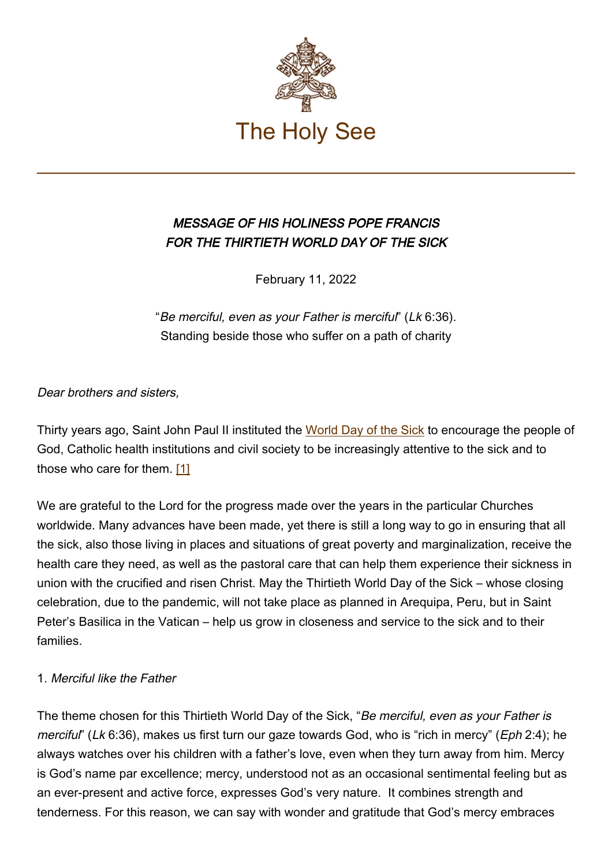

# MESSAGE OF HIS HOLINESS POPE FRANCIS FOR THE THIRTIETH WORLD DAY OF THE SICK

February 11, 2022

"Be merciful, even as your Father is merciful" (Lk 6:36). Standing beside those who suffer on a path of charity

Dear brothers and sisters,

Thirty years ago, Saint John Paul II instituted the [World Day of the Sick](https://www.vatican.va/content/john-paul-ii/en/messages/sick.index.html) to encourage the people of God, Catholic health institutions and civil society to be increasingly attentive to the sick and to those who care for them. [1]

We are grateful to the Lord for the progress made over the years in the particular Churches worldwide. Many advances have been made, yet there is still a long way to go in ensuring that all the sick, also those living in places and situations of great poverty and marginalization, receive the health care they need, as well as the pastoral care that can help them experience their sickness in union with the crucified and risen Christ. May the Thirtieth World Day of the Sick – whose closing celebration, due to the pandemic, will not take place as planned in Arequipa, Peru, but in Saint Peter's Basilica in the Vatican – help us grow in closeness and service to the sick and to their families.

## 1. Merciful like the Father

The theme chosen for this Thirtieth World Day of the Sick, "Be merciful, even as your Father is merciful" (Lk 6:36), makes us first turn our gaze towards God, who is "rich in mercy" (Eph 2:4); he always watches over his children with a father's love, even when they turn away from him. Mercy is God's name par excellence; mercy, understood not as an occasional sentimental feeling but as an ever-present and active force, expresses God's very nature. It combines strength and tenderness. For this reason, we can say with wonder and gratitude that God's mercy embraces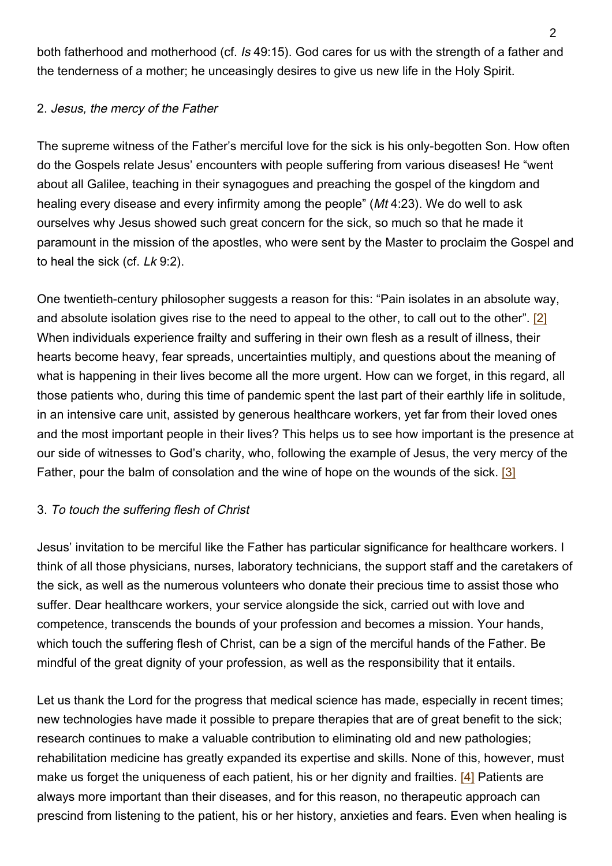both fatherhood and motherhood (cf. Is 49:15). God cares for us with the strength of a father and the tenderness of a mother; he unceasingly desires to give us new life in the Holy Spirit.

## 2. Jesus, the mercy of the Father

The supreme witness of the Father's merciful love for the sick is his only-begotten Son. How often do the Gospels relate Jesus' encounters with people suffering from various diseases! He "went about all Galilee, teaching in their synagogues and preaching the gospel of the kingdom and healing every disease and every infirmity among the people" (Mt 4:23). We do well to ask ourselves why Jesus showed such great concern for the sick, so much so that he made it paramount in the mission of the apostles, who were sent by the Master to proclaim the Gospel and to heal the sick (cf. Lk 9:2).

One twentieth-century philosopher suggests a reason for this: "Pain isolates in an absolute way, and absolute isolation gives rise to the need to appeal to the other, to call out to the other". [2] When individuals experience frailty and suffering in their own flesh as a result of illness, their hearts become heavy, fear spreads, uncertainties multiply, and questions about the meaning of what is happening in their lives become all the more urgent. How can we forget, in this regard, all those patients who, during this time of pandemic spent the last part of their earthly life in solitude, in an intensive care unit, assisted by generous healthcare workers, yet far from their loved ones and the most important people in their lives? This helps us to see how important is the presence at our side of witnesses to God's charity, who, following the example of Jesus, the very mercy of the Father, pour the balm of consolation and the wine of hope on the wounds of the sick. [3]

## 3. To touch the suffering flesh of Christ

Jesus' invitation to be merciful like the Father has particular significance for healthcare workers. I think of all those physicians, nurses, laboratory technicians, the support staff and the caretakers of the sick, as well as the numerous volunteers who donate their precious time to assist those who suffer. Dear healthcare workers, your service alongside the sick, carried out with love and competence, transcends the bounds of your profession and becomes a mission. Your hands, which touch the suffering flesh of Christ, can be a sign of the merciful hands of the Father. Be mindful of the great dignity of your profession, as well as the responsibility that it entails.

Let us thank the Lord for the progress that medical science has made, especially in recent times; new technologies have made it possible to prepare therapies that are of great benefit to the sick; research continues to make a valuable contribution to eliminating old and new pathologies; rehabilitation medicine has greatly expanded its expertise and skills. None of this, however, must make us forget the uniqueness of each patient, his or her dignity and frailties. [4] Patients are always more important than their diseases, and for this reason, no therapeutic approach can prescind from listening to the patient, his or her history, anxieties and fears. Even when healing is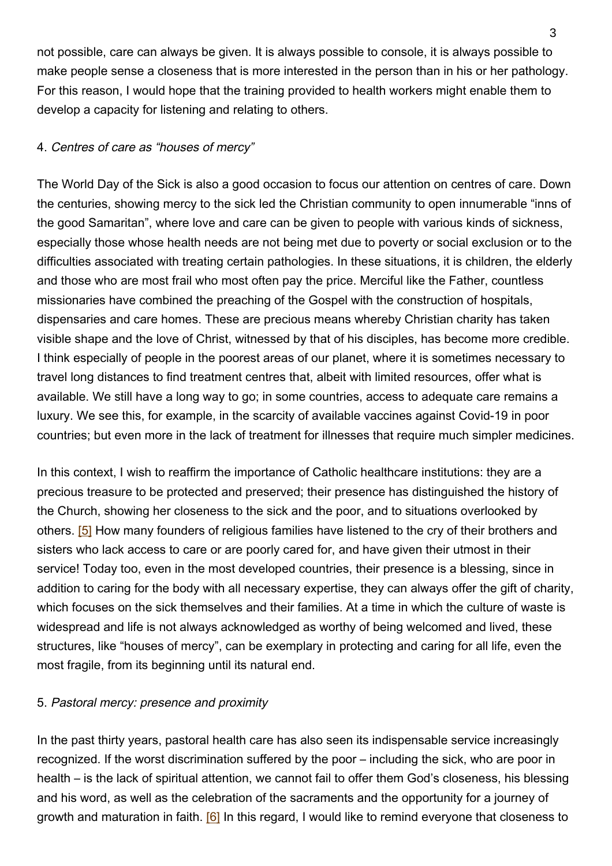not possible, care can always be given. It is always possible to console, it is always possible to make people sense a closeness that is more interested in the person than in his or her pathology. For this reason, I would hope that the training provided to health workers might enable them to develop a capacity for listening and relating to others.

#### 4. Centres of care as "houses of mercy"

The World Day of the Sick is also a good occasion to focus our attention on centres of care. Down the centuries, showing mercy to the sick led the Christian community to open innumerable "inns of the good Samaritan", where love and care can be given to people with various kinds of sickness, especially those whose health needs are not being met due to poverty or social exclusion or to the difficulties associated with treating certain pathologies. In these situations, it is children, the elderly and those who are most frail who most often pay the price. Merciful like the Father, countless missionaries have combined the preaching of the Gospel with the construction of hospitals, dispensaries and care homes. These are precious means whereby Christian charity has taken visible shape and the love of Christ, witnessed by that of his disciples, has become more credible. I think especially of people in the poorest areas of our planet, where it is sometimes necessary to travel long distances to find treatment centres that, albeit with limited resources, offer what is available. We still have a long way to go; in some countries, access to adequate care remains a luxury. We see this, for example, in the scarcity of available vaccines against Covid-19 in poor countries; but even more in the lack of treatment for illnesses that require much simpler medicines.

In this context, I wish to reaffirm the importance of Catholic healthcare institutions: they are a precious treasure to be protected and preserved; their presence has distinguished the history of the Church, showing her closeness to the sick and the poor, and to situations overlooked by others. [5] How many founders of religious families have listened to the cry of their brothers and sisters who lack access to care or are poorly cared for, and have given their utmost in their service! Today too, even in the most developed countries, their presence is a blessing, since in addition to caring for the body with all necessary expertise, they can always offer the gift of charity, which focuses on the sick themselves and their families. At a time in which the culture of waste is widespread and life is not always acknowledged as worthy of being welcomed and lived, these structures, like "houses of mercy", can be exemplary in protecting and caring for all life, even the most fragile, from its beginning until its natural end.

#### 5. Pastoral mercy: presence and proximity

In the past thirty years, pastoral health care has also seen its indispensable service increasingly recognized. If the worst discrimination suffered by the poor – including the sick, who are poor in health – is the lack of spiritual attention, we cannot fail to offer them God's closeness, his blessing and his word, as well as the celebration of the sacraments and the opportunity for a journey of growth and maturation in faith. [6] In this regard, I would like to remind everyone that closeness to